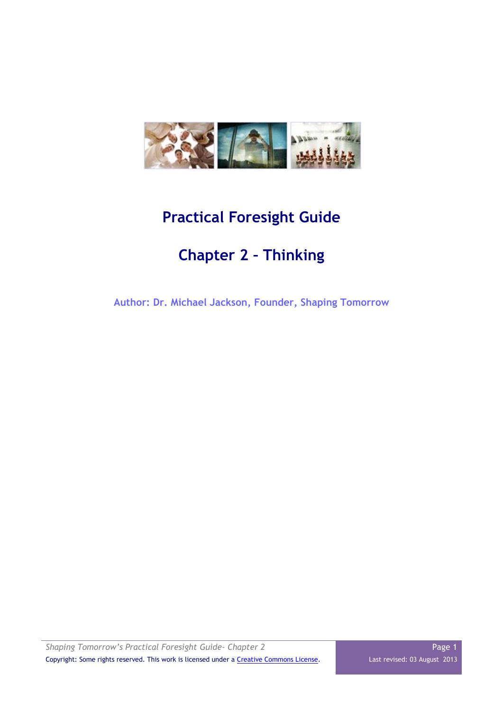

# **Practical Foresight Guide**

# **Chapter 2 – Thinking**

**Author: Dr. Michael Jackson, Founder, Shaping Tomorrow**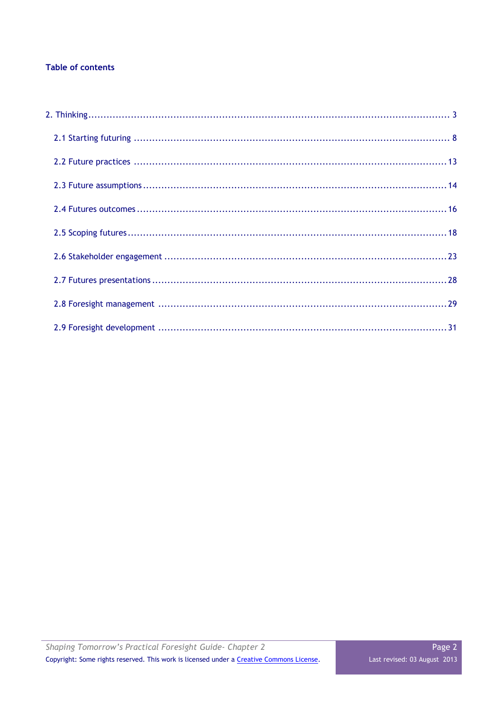# **Table of contents**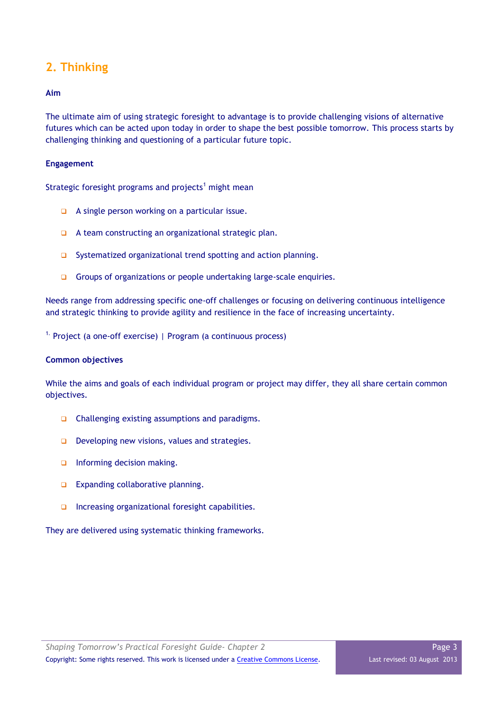# <span id="page-2-0"></span>**2. Thinking**

# **Aim**

The ultimate aim of using strategic foresight to advantage is to provide challenging visions of alternative futures which can be acted upon today in order to shape the best possible tomorrow. This process starts by challenging thinking and questioning of a particular future topic.

# **Engagement**

Strategic foresight programs and projects<sup>1</sup> might mean

- $\Box$  A single person working on a particular issue.
- A team constructing an organizational strategic plan.
- □ Systematized organizational trend spotting and action planning.
- Groups of organizations or people undertaking large-scale enquiries.

Needs range from addressing specific one-off challenges or focusing on delivering continuous intelligence and strategic thinking to provide agility and resilience in the face of increasing uncertainty.

<sup>1.</sup> Project (a one-off exercise) | Program (a continuous process)

# **Common objectives**

While the aims and goals of each individual program or project may differ, they all share certain common objectives.

- $\Box$  Challenging existing assumptions and paradigms.
- $\Box$  Developing new visions, values and strategies.
- Informing decision making.
- **Expanding collaborative planning.**
- $\Box$  Increasing organizational foresight capabilities.

They are delivered using systematic thinking frameworks.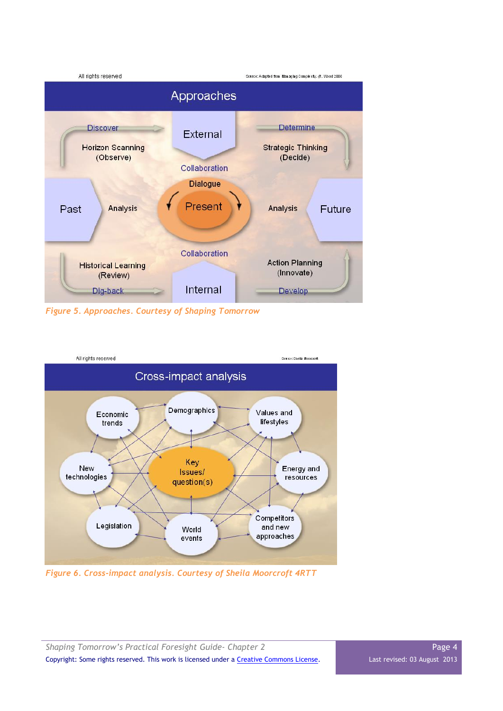

*Figure 5. Approaches. Courtesy of Shaping Tomorrow*



*Figure 6. Cross-impact analysis. Courtesy of Sheila Moorcroft 4RTT*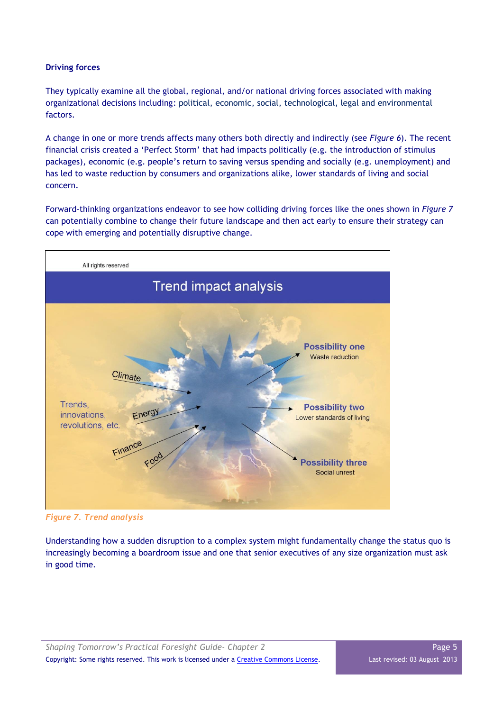# **Driving forces**

They typically examine all the global, regional, and/or national driving forces associated with making organizational decisions including: [political,](http://en.wikipedia.org/wiki/Politics) [economic,](http://en.wikipedia.org/wiki/Economics) [social,](http://en.wikipedia.org/wiki/Social) [technological,](http://en.wikipedia.org/wiki/Technology) [legal](http://en.wikipedia.org/wiki/Legal_research) and [environmental](http://en.wikipedia.org/wiki/Environment) factors.

A change in one or more trends affects many others both directly and indirectly (see *Figure 6*). The recent financial crisis created a 'Perfect Storm' that had impacts politically (e.g. the introduction of stimulus packages), economic (e.g. people's return to saving versus spending and socially (e.g. unemployment) and has led to waste reduction by consumers and organizations alike, lower standards of living and social concern.

Forward-thinking organizations endeavor to see how colliding driving forces like the ones shown in *Figure 7* can potentially combine to change their future landscape and then act early to ensure their strategy can cope with emerging and potentially disruptive change.



*Figure 7. Trend analysis*

Understanding how a sudden disruption to a complex system might fundamentally change the status quo is increasingly becoming a boardroom issue and one that senior executives of any size organization must ask in good time.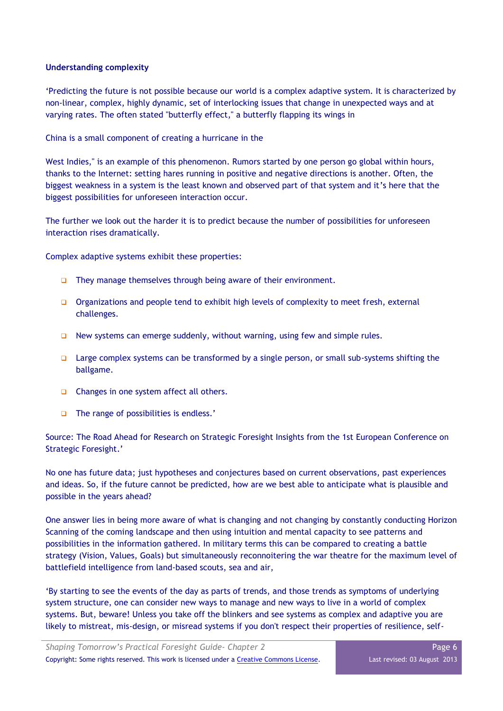# **Understanding complexity**

'Predicting the future is not possible because our world is a complex adaptive system. It is characterized by non-linear, complex, highly dynamic, set of interlocking issues that change in unexpected ways and at varying rates. The often stated "butterfly effect," a butterfly flapping its wings in

China is a small component of creating a hurricane in the

West Indies," is an example of this phenomenon. Rumors started by one person go global within hours, thanks to the Internet: setting hares running in positive and negative directions is another. Often, the biggest weakness in a system is the least known and observed part of that system and it's here that the biggest possibilities for unforeseen interaction occur.

The further we look out the harder it is to predict because the number of possibilities for unforeseen interaction rises dramatically.

Complex adaptive systems exhibit these properties:

- $\Box$  They manage themselves through being aware of their environment.
- **Organizations and people tend to exhibit high levels of complexity to meet fresh, external** challenges.
- $\Box$  New systems can emerge suddenly, without warning, using few and simple rules.
- **Large complex systems can be transformed by a single person, or small sub-systems shifting the** ballgame.
- Changes in one system affect all others.
- The range of possibilities is endless.'

Source: The Road Ahead for Research on Strategic Foresight Insights from the 1st European Conference on Strategic Foresight.'

No one has future data; just hypotheses and conjectures based on current observations, past experiences and ideas. So, if the future cannot be predicted, how are we best able to anticipate what is plausible and possible in the years ahead?

One answer lies in being more aware of what is changing and not changing by constantly conducting Horizon Scanning of the coming landscape and then using intuition and mental capacity to see patterns and possibilities in the information gathered. In military terms this can be compared to creating a battle strategy (Vision, Values, Goals) but simultaneously reconnoitering the war theatre for the maximum level of battlefield intelligence from land-based scouts, sea and air,

'By starting to see the events of the day as parts of trends, and those trends as symptoms of underlying system structure, one can consider new ways to manage and new ways to live in a world of complex systems. But, beware! Unless you take off the blinkers and see systems as complex and adaptive you are likely to mistreat, mis-design, or misread systems if you don't respect their properties of resilience, self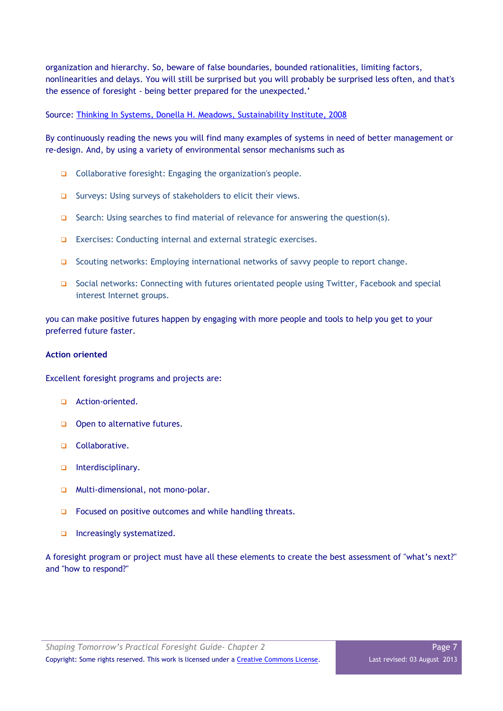organization and hierarchy. So, beware of false boundaries, bounded rationalities, limiting factors, nonlinearities and delays. You will still be surprised but you will probably be surprised less often, and that's the essence of foresight - being better prepared for the unexpected.'

Source: [Thinking In Systems, Donella H. Meadows, Sustainability Institute, 2008](http://www.amazon.com/Thinking-Systems-Primer-Donella-Meadows/dp/1603580557)

By continuously reading the news you will find many examples of systems in need of better management or re-design. And, by using a variety of environmental sensor mechanisms such as

- Collaborative foresight: Engaging the organization's people.
- □ [Surveys:](http://practicalforesight.wetpaint.com/page/Scanning+methods) Using surveys of stakeholders to elicit their views.
- $\Box$  [Search:](http://practicalforesight.wetpaint.com/page/Source+selection) Using searches to find material of relevance for answering the question(s).
- □ [Exercises:](http://practicalforesight.wetpaint.com/page/Strategic+Leadership) Conducting internal and external strategic exercises.
- □ [Scouting networks:](http://practicalforesight.wetpaint.com/page/Scanning+engagement) Employing international networks of savvy people to report change.
- □ Social networks: Connecting with futures orientated people using Twitter, Facebook and special interest Internet groups.

you can make positive futures happen by engaging with more people and tools to help you get to your preferred future faster.

#### **Action oriented**

Excellent foresight programs and projects are:

- Action-oriented.
- □ Open to alternative futures.
- **D** Collaborative.
- Interdisciplinary.
- **D** Multi-dimensional, not mono-polar.
- $\Box$  Focused on positive outcomes and while handling threats.
- **Increasingly systematized.**

A foresight program or project must have all these elements to create the best assessment of "what's next?" and "how to respond?"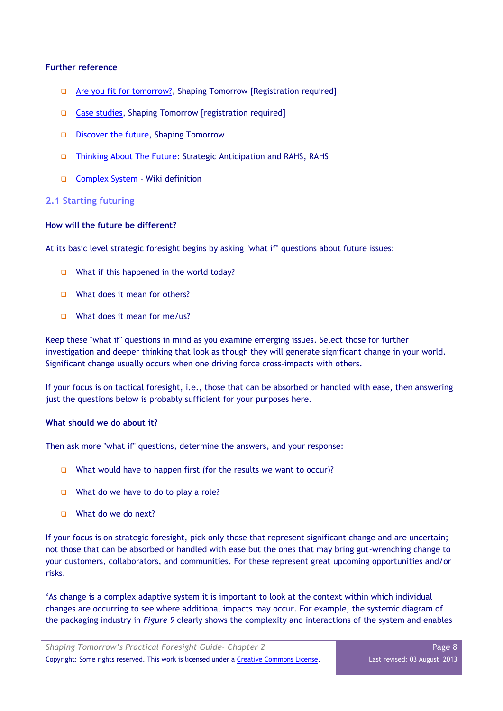# **Further reference**

- [Are you fit for tomorrow?,](http://www.shapingtomorrow.com/insights.cfm?st=933&mid=13) Shaping Tomorrow [Registration required]
- □ [Case studies,](http://www.shapingtomorrow.com/insights.cfm?st=936&mid=13) Shaping Tomorrow [registration required]
- [Discover the future,](http://www.shapingtomorrow.com/insights.cfm?st=935&mid=13) Shaping Tomorrow
- [Thinking About The Future:](http://www.nps.edu/Academics/Institutes/Cebrowski/Docs/Rasmussen-docs/Singapore%20RAHS.pdf) Strategic Anticipation and RAHS, RAHS
- □ [Complex System](http://en.wikipedia.org/wiki/Complex_system) Wiki definition

#### <span id="page-7-0"></span>**2.1 Starting futuring**

#### **How will the future be different?**

At its basic level strategic foresight begins by asking "what if" questions about future issues:

- What if this happened in the world today?
- $\Box$  What does it mean for others?
- $\Box$  What does it mean for me/us?

Keep these "what if" questions in mind as you examine emerging issues. Select those for further investigation and deeper thinking that look as though they will generate significant change in your world. Significant change usually occurs when one driving force cross-impacts with others.

If your focus is on tactical foresight, i.e., those that can be absorbed or handled with ease, then answering just the questions below is probably sufficient for your purposes here.

### **What should we do about it?**

Then ask more "what if" questions, determine the answers, and your response:

- What would have to happen first (for the results we want to occur)?
- $\Box$  What do we have to do to play a role?
- □ What do we do next?

If your focus is on strategic foresight, pick only those that represent significant change and are uncertain; not those that can be absorbed or handled with ease but the ones that may bring gut-wrenching change to your customers, collaborators, and communities. For these represent great upcoming opportunities and/or risks.

'As change is a complex adaptive system it is important to look at the context within which individual changes are occurring to see where additional impacts may occur. For example, the systemic diagram of the packaging industry in *Figure 9* clearly shows the complexity and interactions of the system and enables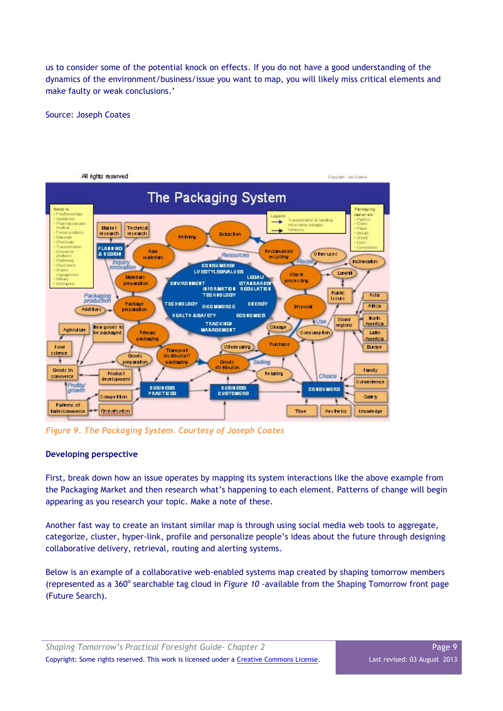us to consider some of the potential knock on effects. If you do not have a good understanding of the dynamics of the environment/business/issue you want to map, you will likely miss critical elements and make faulty or weak conclusions.'

Source: Joseph Coates



*Figure 9. The Packaging System. Courtesy of Joseph Coates*

# **Developing perspective**

First, break down how an issue operates by mapping its system interactions like the above example from the Packaging Market and then research what's happening to each element. Patterns of change will begin appearing as you research your topic. Make a note of these.

Another fast way to create an instant similar map is through using social media web tools to aggregate, categorize, cluster, hyper-link, profile and personalize people's ideas about the future through designing collaborative delivery, retrieval, routing and alerting systems.

Below is an example of a collaborative web-enabled systems map created by shaping tomorrow members (represented as a 360° searchable tag cloud in *Figure 10* -available from the Shaping Tomorrow front page (Future Search).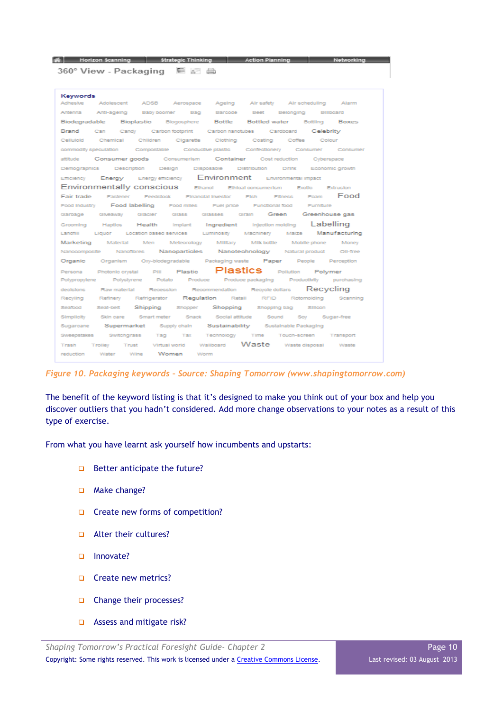| 360° View - Packaging ■ 图 圖                                                          |
|--------------------------------------------------------------------------------------|
| Keywords<br>Adhesive Adolescent ADSB Aerospace Ageing Airsafety Airscheduling Alarm  |
| Antenna Anti-ageing Baby boomer Bag Barcode Beet Belonging Billiboard                |
| Biodegradable Bioplastic Biogosphere Bottle Bottled water Bottling Boxes             |
| Brand Can Candy Carbon footprint Carbon nanotubes Cardboard Celebrity                |
| Celluloid Chemical Children Cigarette Clothing Coating Coffee Colour                 |
| commodity speculation Compostable Conductive plastic Confectionery Consumer Consumer |
| attitude Consumer goods Consumerism Container Cost reduction Cyberspace              |
| Demographics Description Design Disposable Distribution Drink Economic growth        |
| Efficiency Energy Energy efficiency Environment Environmental Impact                 |
| Environmentally conscious Ethanol Ethical consumerism Exotic Extrusion               |
| Fitness Foam Food<br>Fair trade Fastener Feedstock Financial Investor Fish           |
| Food Industry Food labelling Food miles Fuel price Functional food Furniture         |
| Garbage Giveaway Glacler Glass Glasses Grain Green Greenhouse.gas                    |
| Grooming Haptics Health implant Ingredient Injection molding Labelling               |
| Landfill Liquor Location based services Luminosity Machinery Malze Manufacturing     |
| Marketing Material Men Meteorology Military Milk bottle Mobile phone Money           |
| Nanocomposite Nanofibres Nanoparticles Nanotechnology Natural product Oll-free       |
| Organic Organism Oxy-biodegradable Packaging-waste Paper People Perception           |
| Persona Photonic-crystal PIII Plastic PlastiCS pollution Polymer                     |
| Polypropylene Polystyrene Potato Produce Produce packaging Productivity purchasing   |
| decisions Raw material Recession Recommendation Recycle-dollars Recycling            |
| Refinery Refrigerator Regulation Retail RFID Rotomolding Scanning<br>Recylling       |
| Seafood Seat-belt Shipping Shopper Shopping Shopping bag Sillcon                     |
| Simplicity Skin care Smart meter Snack Social attitude Sound Soy Sugar-free          |
| Sugarcane Supermarket Supply chain Sustainability Sustainable Packaging              |
| Sweepstakes Switchgrass Tag Tax Technology Time Touch-screen Transport               |
| Trash Trolley Trust Virtual-world Wallboard Waste Waste-disposal Waste               |
| reduction Water Wine Women Worm                                                      |
|                                                                                      |

Networking

**A** Horizon Scanning Strategic Thinking Action Planning

*Figure 10. Packaging keywords – Source: Shaping Tomorrow (www.shapingtomorrow.com)*

The benefit of the keyword listing is that it's designed to make you think out of your box and help you discover outliers that you hadn't considered. Add more change observations to your notes as a result of this type of exercise.

From what you have learnt ask yourself how incumbents and upstarts:

- $\Box$  Better anticipate the future?
- □ Make change?
- Create new forms of competition?
- □ Alter their cultures?
- Innovate?
- Create new metrics?
- Change their processes?
- Assess and mitigate risk?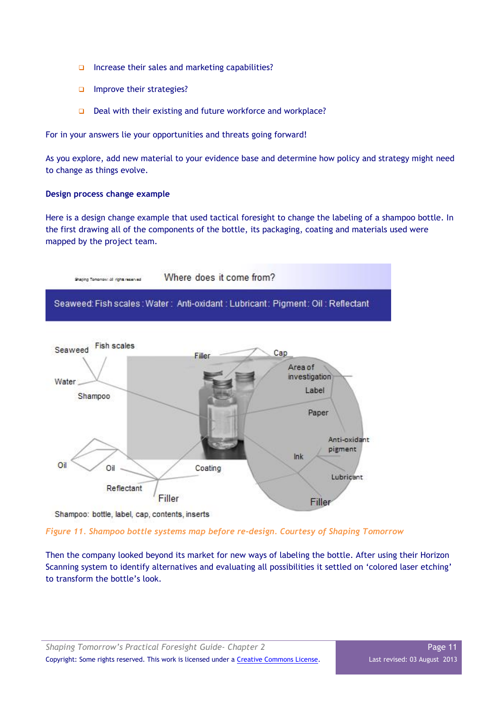- $\Box$  Increase their sales and marketing capabilities?
- Improve their strategies?
- Deal with their existing and future workforce and workplace?

For in your answers lie your opportunities and threats going forward!

As you explore, add new material to your evidence base and determine how policy and strategy might need to change as things evolve.

# **Design process change example**

Here is a design change example that used tactical foresight to change the labeling of a shampoo bottle. In the first drawing all of the components of the bottle, its packaging, coating and materials used were mapped by the project team.



*Figure 11. Shampoo bottle systems map before re-design. Courtesy of Shaping Tomorrow*

Then the company looked beyond its market for new ways of labeling the bottle. After using their Horizon Scanning system to identify alternatives and evaluating all possibilities it settled on 'colored laser etching' to transform the bottle's look.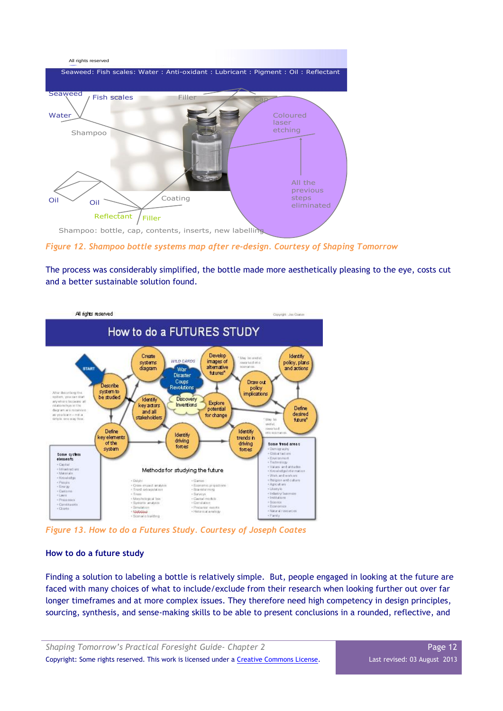

*Figure 12. Shampoo bottle systems map after re-design. Courtesy of Shaping Tomorrow*

The process was considerably simplified, the bottle made more aesthetically pleasing to the eye, costs cut and a better sustainable solution found.



*Figure 13. How to do a Futures Study. Courtesy of Joseph Coates*

# **How to do a future study**

Finding a solution to labeling a bottle is relatively simple. But, people engaged in looking at the future are faced with many choices of what to include/exclude from their research when looking further out over far longer timeframes and at more complex issues. They therefore need high competency in design principles, sourcing, synthesis, and sense-making skills to be able to present conclusions in a rounded, reflective, and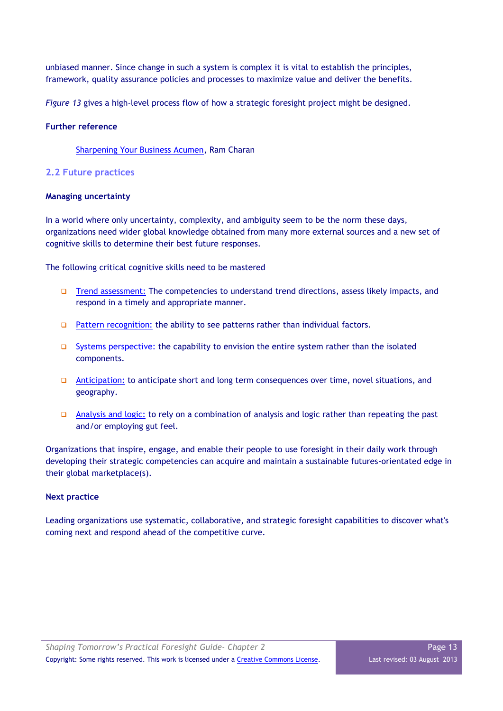unbiased manner. Since change in such a system is complex it is vital to establish the principles, framework, quality assurance policies and processes to maximize value and deliver the benefits.

*Figure 13* gives a high-level process flow of how a strategic foresight project might be designed.

# **Further reference**

[Sharpening Your Business Acumen,](http://www.strategy-business.com/press/enewsarticle/enews033006?pg=all) Ram Charan

# <span id="page-12-0"></span>**2.2 Future practices**

#### **Managing uncertainty**

In a world where only uncertainty, complexity, and ambiguity seem to be the norm these days, organizations need wider global knowledge obtained from many more external sources and a new set of cognitive skills to determine their best future responses.

The following critical cognitive skills need to be mastered

- [Trend assessment:](http://en.wikipedia.org/wiki/Core_competency) The competencies to understand trend directions, assess likely impacts, and respond in a timely and appropriate manner.
- □ [Pattern recognition:](http://en.wikipedia.org/wiki/Pattern_recognition) the ability to see patterns rather than individual factors.
- $\Box$  [Systems perspective:](http://en.wikipedia.org/wiki/System) the capability to envision the entire system rather than the isolated components.
- $\Box$  [Anticipation:](http://en.wikipedia.org/wiki/Futures_studies) to anticipate short and long term consequences over time, novel situations, and geography.
- $\Box$  [Analysis and logic:](http://en.wikipedia.org/wiki/Instinct) to rely on a combination of analysis and logic rather than repeating the past and/or employing gut feel.

Organizations that inspire, engage, and enable their people to use foresight in their daily work through developing their strategic competencies can acquire and maintain a sustainable futures-orientated edge in their global marketplace(s).

# **Next practice**

Leading organizations use systematic, collaborative, and strategic foresight capabilities to discover what's coming next and respond ahead of the competitive curve.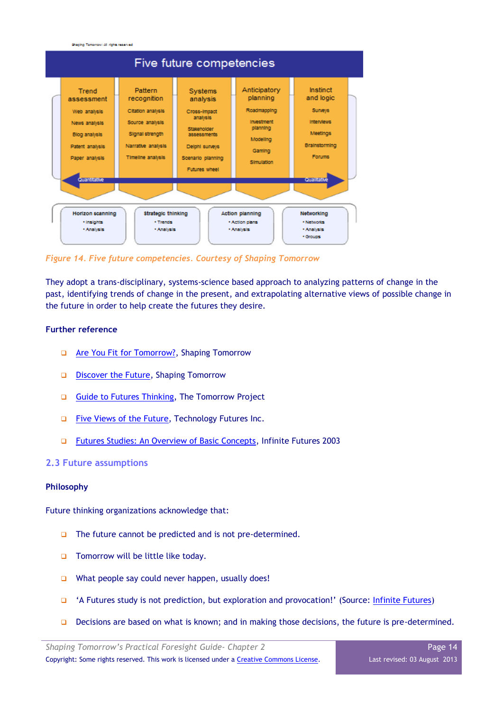

*Figure 14. Five future competencies. Courtesy of Shaping Tomorrow*

They adopt a trans-disciplinary, systems-science based approach to analyzing patterns of change in the past, identifying trends of change in the present, and extrapolating alternative views of possible change in the future in order to help create the futures they desire.

# **Further reference**

- [Are You Fit for Tomorrow?,](http://www.shapingtomorrow.com/insights.cfm?st=933&mid=13) Shaping Tomorrow
- [Discover the Future,](http://www.shapingtomorrow.com/insights.cfm?st=935&mid=13) Shaping Tomorrow
- [Guide to Futures Thinking,](http://www.tomorrowproject.net/index.shtml?page=futures) The Tomorrow Project
- [Five Views of](http://www.tfi.com/rescon/five_views.html) the Future, Technology Futures Inc.
- [Futures Studies: An Overview of Basic Concepts,](http://www.infinitefutures.com/essays/prez/overview/index.htm) Infinite Futures 2003

# <span id="page-13-0"></span>**2.3 Future assumptions**

# **Philosophy**

Future thinking organizations acknowledge that:

- $\Box$  The future cannot be predicted and is not pre-determined.
- $\Box$  Tomorrow will be little like today.
- $\Box$  What people say could never happen, usually does!
- 'A Futures study is not prediction, but exploration and provocation!' (Source: [Infinite Futures\)](http://www.infinitefutures.com/essays/prez/fcreativity/sld010.htm)
- Decisions are based on what is known; and in making those decisions, the future is pre-determined.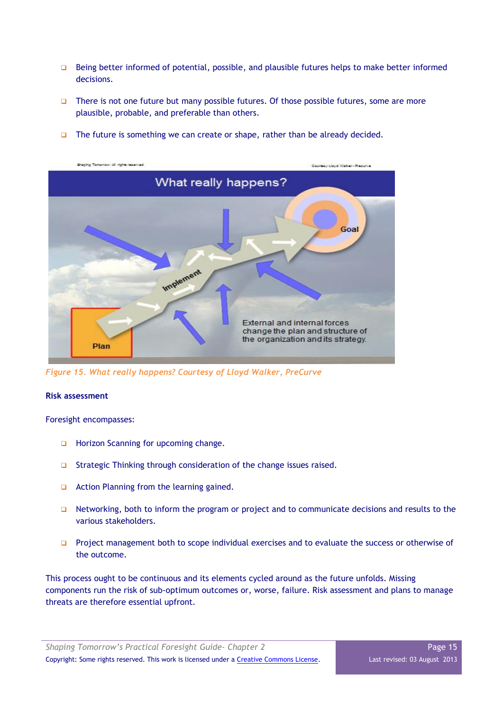- Being better informed of potential, possible, and plausible futures helps to make better informed decisions.
- There is not one future but many possible futures. Of those possible futures, some are more plausible, probable, and preferable than others.
- The future is something we can create or shape, rather than be already decided.



*Figure 15. What really happens? Courtesy of Lloyd Walker, PreCurve*

#### **Risk assessment**

Foresight encompasses:

- **Horizon Scanning for upcoming change.**
- □ Strategic Thinking through consideration of the change issues raised.
- **Q** Action Planning from the learning gained.
- □ Networking, both to inform the program or project and to communicate decisions and results to the various stakeholders.
- **Project management both to scope individual exercises and to evaluate the success or otherwise of** the outcome.

This process ought to be continuous and its elements cycled around as the future unfolds. Missing components run the risk of sub-optimum outcomes or, worse, failure. Risk assessment and plans to manage threats are therefore essential upfront.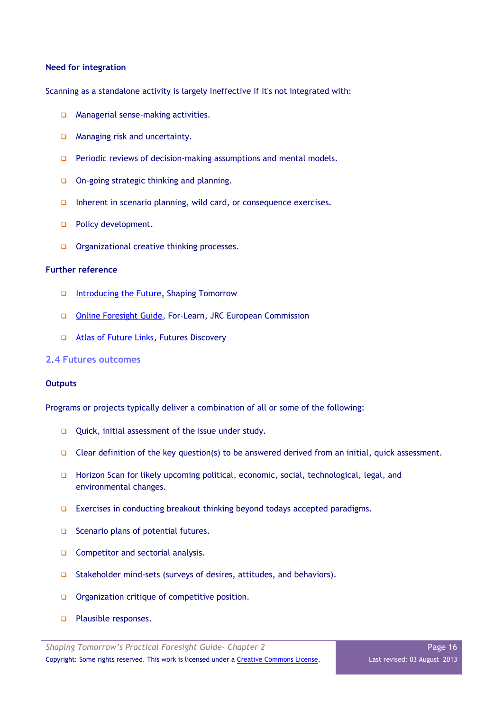#### **Need for integration**

Scanning as a standalone activity is largely ineffective if it's not integrated with:

- **D** Managerial sense-making activities.
- **D** Managing risk and uncertainty.
- $\Box$  Periodic reviews of decision-making assumptions and mental models.
- On-going strategic thinking and planning.
- $\Box$  Inherent in scenario planning, wild card, or consequence exercises.
- **D** Policy development.
- **O** Organizational creative thinking processes.

#### **Further reference**

- □ [Introducing the Future,](http://www.shapingtomorrow.com/insights.cfm?taxon=1&fore=1) Shaping Tomorrow
- [Online Foresight Guide,](http://forlearn.jrc.es/guide/0_home/index.htm) For-Learn, JRC European Commission
- [Atlas of Future Links,](http://www.futuresdiscovery.com/ATLAS/Index.htm) Futures Discovery

# <span id="page-15-0"></span>**2.4 Futures outcomes**

#### **Outputs**

Programs or projects typically deliver a combination of all or some of the following:

- Quick, initial assessment of the issue under study.
- Clear definition of the key question(s) to be answered derived from an initial, quick assessment.
- □ Horizon Scan for likely upcoming political, economic, social, technological, legal, and environmental changes.
- **Exercises in conducting breakout thinking beyond todays accepted paradigms.**
- $\Box$  Scenario plans of potential futures.
- **Q** Competitor and sectorial analysis.
- $\Box$  Stakeholder mind-sets (surveys of desires, attitudes, and behaviors).
- □ Organization critique of competitive position.
- **D** Plausible responses.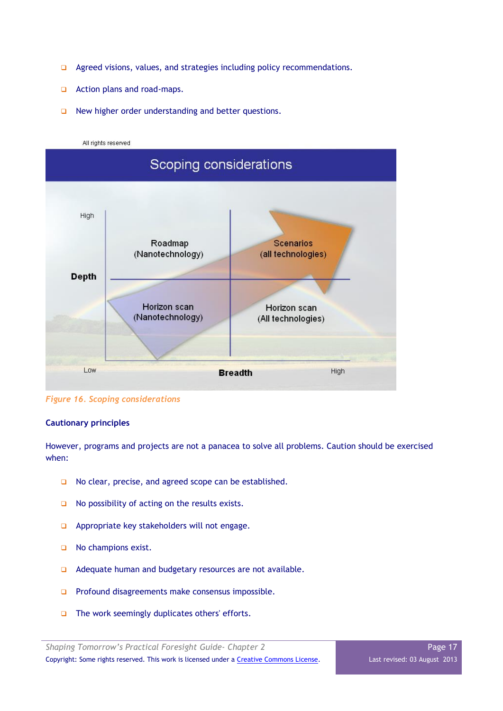- □ Agreed visions, values, and strategies including policy recommendations.
- Action plans and road-maps.
- □ New higher order understanding and better questions.



*Figure 16. Scoping considerations*

# **Cautionary principles**

However, programs and projects are not a panacea to solve all problems. Caution should be exercised when:

- □ No clear, precise, and agreed scope can be established.
- $\Box$  No possibility of acting on the results exists.
- $\Box$  Appropriate key stakeholders will not engage.
- No champions exist.
- **Q** Adequate human and budgetary resources are not available.
- **Q** Profound disagreements make consensus impossible.
- $\Box$  The work seemingly duplicates others' efforts.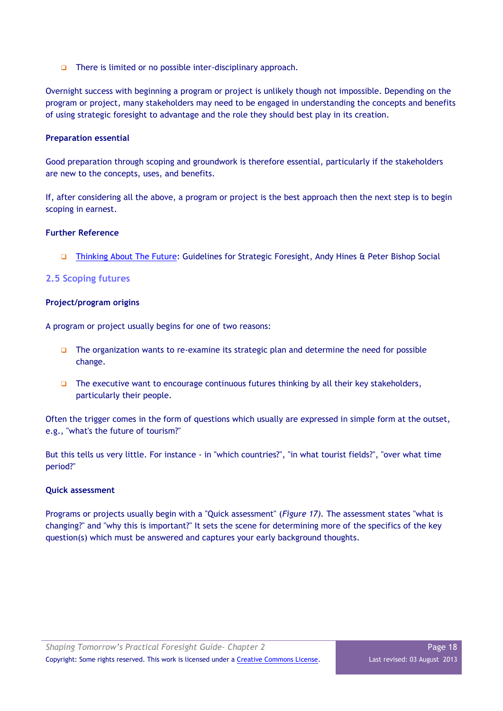$\Box$  There is limited or no possible inter-disciplinary approach.

Overnight success with beginning a program or project is unlikely though not impossible. Depending on the program or project, many stakeholders may need to be engaged in understanding the concepts and benefits of using strategic foresight to advantage and the role they should best play in its creation.

# **Preparation essential**

Good preparation through scoping and groundwork is therefore essential, particularly if the stakeholders are new to the concepts, uses, and benefits.

If, after considering all the above, a program or project is the best approach then the next step is to begin scoping in earnest.

#### **Further Reference**

[Thinking About The Future:](http://www.amazon.com/Thinking-Future-Guidelines-Strategic-Foresight/dp/097893170X) Guidelines for Strategic Foresight, Andy Hines & Peter Bishop Social

# <span id="page-17-0"></span>**2.5 Scoping futures**

#### **Project/program origins**

A program or project usually begins for one of two reasons:

- **The organization wants to re-examine its strategic plan and determine the need for possible** change.
- The executive want to encourage continuous futures thinking by all their key stakeholders, particularly their people.

Often the trigger comes in the form of questions which usually are expressed in simple form at the outset, e.g., "what's the future of tourism?"

But this tells us very little. For instance - in "which countries?", "in what tourist fields?", "over what time period?"

# **Quick assessment**

Programs or projects usually begin with a "Quick assessment" (*Figure 17).* The assessment states "what is changing?" and "why this is important?" It sets the scene for determining more of the specifics of the key question(s) which must be answered and captures your early background thoughts.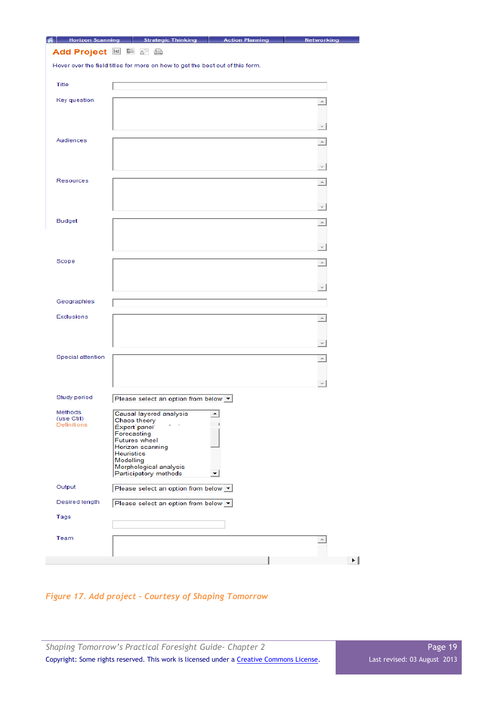| A.                                | Horizon Scanning Strategic Thinking Action Planning                           |    | <b>Networking</b> |
|-----------------------------------|-------------------------------------------------------------------------------|----|-------------------|
| Add Project <b>E E</b> 2 <b>A</b> |                                                                               |    |                   |
|                                   | Hover over the field titles for more on how to get the best out of this form. |    |                   |
| Title                             |                                                                               |    |                   |
| Key question                      |                                                                               |    | $\Delta$          |
|                                   |                                                                               |    |                   |
|                                   |                                                                               |    |                   |
| Audiences                         |                                                                               |    | $\blacktriangle$  |
|                                   |                                                                               |    |                   |
| <b>Resources</b>                  |                                                                               |    | $\Delta$          |
|                                   |                                                                               |    |                   |
|                                   |                                                                               |    |                   |
| <b>Budget</b>                     |                                                                               |    | $\Delta$          |
|                                   |                                                                               |    |                   |
| Scope                             |                                                                               |    | $\Delta$          |
|                                   |                                                                               |    |                   |
|                                   |                                                                               |    |                   |
| Geographies                       |                                                                               |    |                   |
| <b>Exclusions</b>                 |                                                                               |    | $\Delta$          |
|                                   |                                                                               |    |                   |
| Special attention                 |                                                                               |    |                   |
|                                   |                                                                               |    | $\Delta$          |
|                                   |                                                                               |    |                   |
| Study period                      | Please select an option from below v                                          |    |                   |
| Methods                           | Causal layered analysis                                                       | ≛  |                   |
| (use Ctrl)<br>Definitions         | Chaos theory<br>Expert panel                                                  |    |                   |
|                                   | Forecasting                                                                   |    |                   |
|                                   | <b>Futures</b> wheel<br>Horizon scanning                                      |    |                   |
|                                   | <b>Heuristics</b>                                                             |    |                   |
|                                   | Modelling<br>Morphological analysis                                           |    |                   |
|                                   | Participatory methods                                                         | ▾╎ |                   |
| Output                            | Please select an option from below v                                          |    |                   |
| Desired length                    | Please select an option from below v                                          |    |                   |
| Tags                              |                                                                               |    |                   |
| Team                              |                                                                               |    | A.                |
|                                   |                                                                               |    |                   |
|                                   |                                                                               |    | ▸∥                |

# *Figure 17. Add project – Courtesy of Shaping Tomorrow*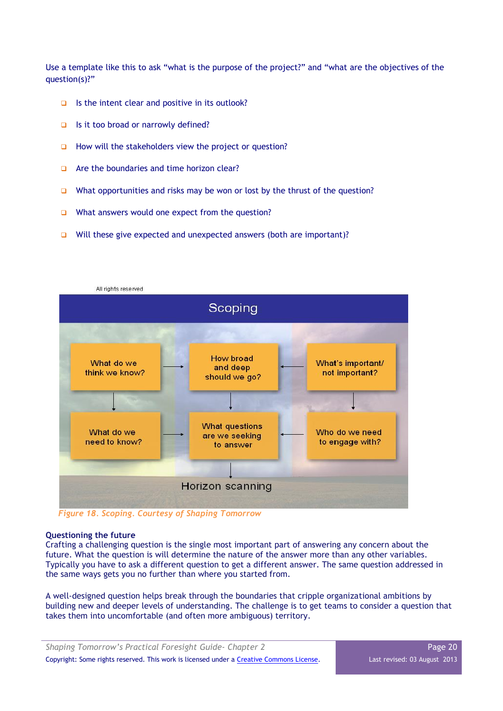Use a template like this to ask "what is the purpose of the project?" and "what are the objectives of the question(s)?"

- $\Box$  Is the intent clear and positive in its outlook?
- $\Box$  Is it too broad or narrowly defined?
- $\Box$  How will the stakeholders view the project or question?
- $\Box$  Are the boundaries and time horizon clear?
- What opportunities and risks may be won or lost by the thrust of the question?
- $\Box$  What answers would one expect from the question?
- $\Box$  Will these give expected and unexpected answers (both are important)?



*Figure 18. Scoping. Courtesy of Shaping Tomorrow*

#### **Questioning the future**

Crafting a challenging question is the single most important part of answering any concern about the future. What the question is will determine the nature of the answer more than any other variables. Typically you have to ask a different question to get a different answer. The same question addressed in the same ways gets you no further than where you started from.

A well-designed question helps break through the boundaries that cripple organizational ambitions by building new and deeper levels of understanding. The challenge is to get teams to consider a question that takes them into uncomfortable (and often more ambiguous) territory.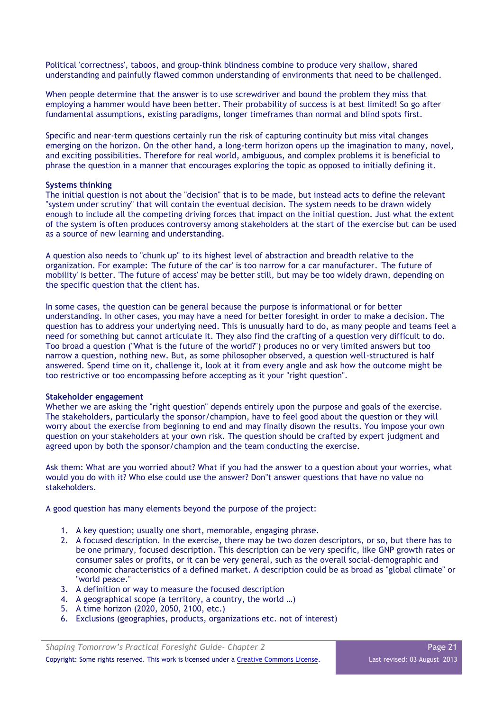Political 'correctness', taboos, and group-think blindness combine to produce very shallow, shared understanding and painfully flawed common understanding of environments that need to be challenged.

When people determine that the answer is to use screwdriver and bound the problem they miss that employing a hammer would have been better. Their probability of success is at best limited! So go after fundamental assumptions, existing paradigms, longer timeframes than normal and blind spots first.

Specific and near-term questions certainly run the risk of capturing continuity but miss vital changes emerging on the horizon. On the other hand, a long-term horizon opens up the imagination to many, novel, and exciting possibilities. Therefore for real world, ambiguous, and complex problems it is beneficial to phrase the question in a manner that encourages exploring the topic as opposed to initially defining it.

#### **Systems thinking**

The initial question is not about the "decision" that is to be made, but instead acts to define the relevant "system under scrutiny" that will contain the eventual decision. The system needs to be drawn widely enough to include all the competing driving forces that impact on the initial question. Just what the extent of the system is often produces controversy among stakeholders at the start of the exercise but can be used as a source of new learning and understanding.

A question also needs to "chunk up" to its highest level of abstraction and breadth relative to the organization. For example: 'The future of the car' is too narrow for a car manufacturer. 'The future of mobility' is better. 'The future of access' may be better still, but may be too widely drawn, depending on the specific question that the client has.

In some cases, the question can be general because the purpose is informational or for better understanding. In other cases, you may have a need for better foresight in order to make a decision. The question has to address your underlying need. This is unusually hard to do, as many people and teams feel a need for something but cannot articulate it. They also find the crafting of a question very difficult to do. Too broad a question ("What is the future of the world?") produces no or very limited answers but too narrow a question, nothing new. But, as some philosopher observed, a question well-structured is half answered. Spend time on it, challenge it, look at it from every angle and ask how the outcome might be too restrictive or too encompassing before accepting as it your "right question".

#### **Stakeholder engagement**

Whether we are asking the "right question" depends entirely upon the purpose and goals of the exercise. The stakeholders, particularly the sponsor/champion, have to feel good about the question or they will worry about the exercise from beginning to end and may finally disown the results. You impose your own question on your stakeholders at your own risk. The question should be crafted by expert judgment and agreed upon by both the sponsor/champion and the team conducting the exercise.

Ask them: What are you worried about? What if you had the answer to a question about your worries, what would you do with it? Who else could use the answer? Don"t answer questions that have no value no stakeholders.

A good question has many elements beyond the purpose of the project:

- 1. A key question; usually one short, memorable, engaging phrase.
- 2. A focused description. In the exercise, there may be two dozen descriptors, or so, but there has to be one primary, focused description. This description can be very specific, like GNP growth rates or consumer sales or profits, or it can be very general, such as the overall social-demographic and economic characteristics of a defined market. A description could be as broad as "global climate" or "world peace."
- 3. A definition or way to measure the focused description
- 4. A geographical scope (a territory, a country, the world …)
- 5. A time horizon (2020, 2050, 2100, etc.)
- 6. Exclusions (geographies, products, organizations etc. not of interest)

*Shaping Tomorrow's Practical Foresight Guide- Chapter 2* Copyright: Some rights reserved. This work is licensed under a Creative Commons License.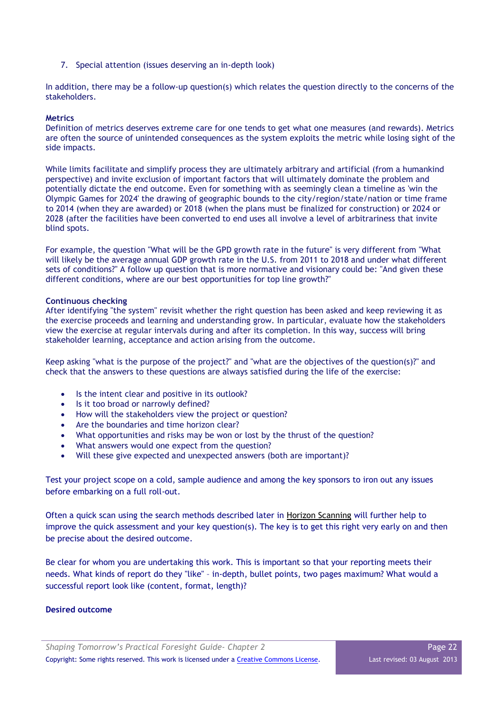7. Special attention (issues deserving an in-depth look)

In addition, there may be a follow-up question(s) which relates the question directly to the concerns of the stakeholders.

#### **Metrics**

Definition of metrics deserves extreme care for one tends to get what one measures (and rewards). Metrics are often the source of unintended consequences as the system exploits the metric while losing sight of the side impacts.

While limits facilitate and simplify process they are ultimately arbitrary and artificial (from a humankind perspective) and invite exclusion of important factors that will ultimately dominate the problem and potentially dictate the end outcome. Even for something with as seemingly clean a timeline as 'win the Olympic Games for 2024' the drawing of geographic bounds to the city/region/state/nation or time frame to 2014 (when they are awarded) or 2018 (when the plans must be finalized for construction) or 2024 or 2028 (after the facilities have been converted to end uses all involve a level of arbitrariness that invite blind spots.

For example, the question "What will be the GPD growth rate in the future" is very different from "What will likely be the average annual GDP growth rate in the U.S. from 2011 to 2018 and under what different sets of conditions?" A follow up question that is more normative and visionary could be: "And given these different conditions, where are our best opportunities for top line growth?"

#### **Continuous checking**

After identifying "the system" revisit whether the right question has been asked and keep reviewing it as the exercise proceeds and learning and understanding grow. In particular, evaluate how the stakeholders view the exercise at regular intervals during and after its completion. In this way, success will bring stakeholder learning, acceptance and action arising from the outcome.

Keep asking "what is the purpose of the project?" and "what are the objectives of the question(s)?" and check that the answers to these questions are always satisfied during the life of the exercise:

- Is the intent clear and positive in its outlook?
- Is it too broad or narrowly defined?
- How will the stakeholders view the project or question?
- Are the boundaries and time horizon clear?
- What opportunities and risks may be won or lost by the thrust of the question?
- What answers would one expect from the question?
- Will these give expected and unexpected answers (both are important)?

Test your project scope on a cold, sample audience and among the key sponsors to iron out any issues before embarking on a full roll-out.

Often a quick scan using the search methods described later in [Horizon Scanning](http://www.shapingtomorrow.com/content.cfm?webtext=388) will further help to improve the quick assessment and your key question(s). The key is to get this right very early on and then be precise about the desired outcome.

Be clear for whom you are undertaking this work. This is important so that your reporting meets their needs. What kinds of report do they "like" – in-depth, bullet points, two pages maximum? What would a successful report look like (content, format, length)?

#### **Desired outcome**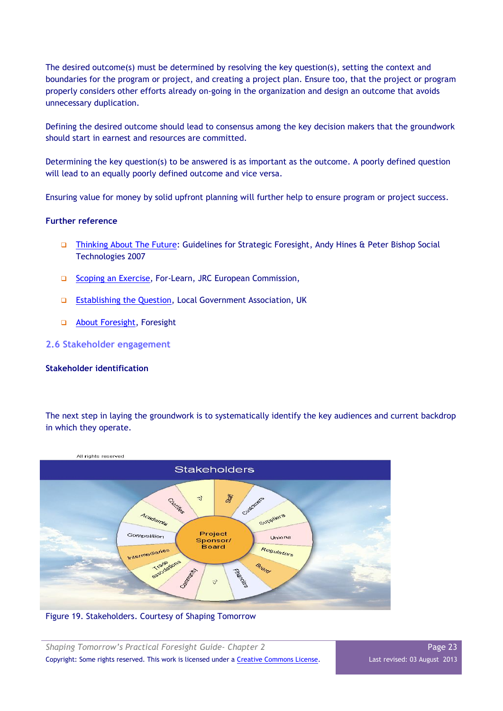The desired outcome(s) must be determined by resolving the key question(s), setting the context and boundaries for the program or project, and creating a project plan. Ensure too, that the project or program properly considers other efforts already on-going in the organization and design an outcome that avoids unnecessary duplication.

Defining the desired outcome should lead to consensus among the key decision makers that the groundwork should start in earnest and resources are committed.

Determining the key question(s) to be answered is as important as the outcome. A poorly defined question will lead to an equally poorly defined outcome and vice versa.

Ensuring value for money by solid upfront planning will further help to ensure program or project success.

# **Further reference**

- [Thinking About The Future:](http://www.amazon.com/Thinking-Future-Guidelines-Strategic-Foresight/dp/097893170X) Guidelines for Strategic Foresight, Andy Hines & Peter Bishop Social Technologies 2007
- □ [Scoping an Exercise,](http://forlearn.jrc.es/guide/3_scoping/index.htm) For-Learn, JRC European Commission,
- □ [Establishing the Question,](http://www.lga.gov.uk/lga/core/page.do?pageId=1095413) Local Government Association, UK
- [About Foresight,](http://www.foresight.gov.uk/About/index.asp) Foresight

#### <span id="page-22-0"></span>**2.6 Stakeholder engagement**

# **Stakeholder identification**

The next step in laying the groundwork is to systematically identify the key audiences and current backdrop in which they operate.





*Shaping Tomorrow's Practical Foresight Guide- Chapter 2* Copyright: Some rights reserved. This work is licensed under a Creative Commons License.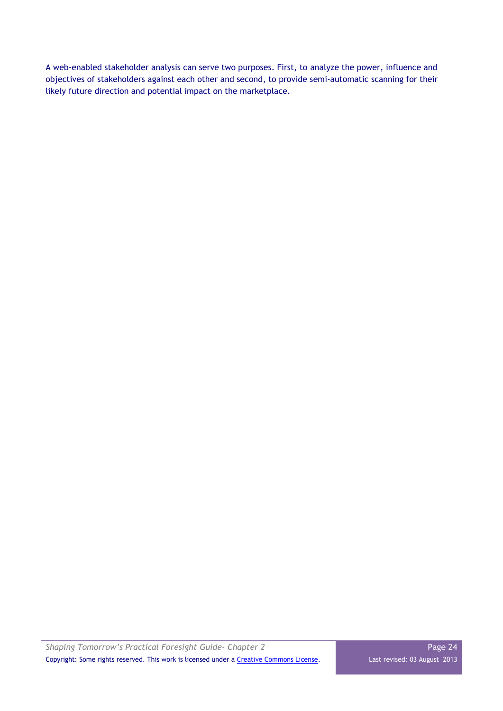A web-enabled stakeholder analysis can serve two purposes. First, to analyze the power, influence and objectives of stakeholders against each other and second, to provide semi-automatic scanning for their likely future direction and potential impact on the marketplace.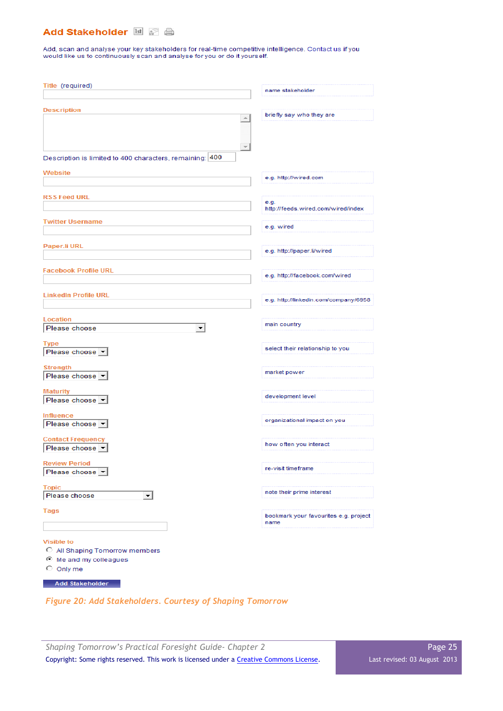# Add Stakeholder 国 图 曲

Add, scan and analyse your key stakeholders for real-time competitive intelligence. Contact us if you<br>would like us to continuously scan and analyse for you or do it yourself.

| Title (required)                                            | name stakeholder                              |
|-------------------------------------------------------------|-----------------------------------------------|
| <b>Description</b><br>$\Delta \mathbf{r}$                   | briefly say who they are                      |
|                                                             |                                               |
| Description is limited to 400 characters, remaining: 400    |                                               |
| Website                                                     | e.g. http://wired.com                         |
| <b>RSS Feed URL</b>                                         |                                               |
|                                                             | e.g.<br>http://feeds.wired.com/wired/index    |
| <b>Twitter Username</b>                                     | e.g. wired                                    |
| Paper.li URL                                                |                                               |
|                                                             | e.g. http://paper.li/wired                    |
| <b>Facebook Profile URL</b>                                 | e.g. http://facebook.com/wired                |
| <b>LinkedIn Profile URL</b>                                 |                                               |
|                                                             | e.g. http://linkedin.com/company/6958         |
| Location<br>Please choose<br>▼                              | main country                                  |
| Type                                                        |                                               |
| Please choose v                                             | select their relationship to you              |
| <b>Strength</b><br>Please choose v                          | market power                                  |
| <b>Maturity</b>                                             |                                               |
| Please choose $\blacktriangleright$                         | development level                             |
| <b>Influence</b><br>Please choose $\blacktriangleright$     | organizational impact on you                  |
| <b>Contact Frequency</b>                                    | how often you interact                        |
| $ Please choose \nightharpoonup  $                          |                                               |
| <b>Review Period</b><br>Please choose $\blacktriangleright$ | re-visit time frame                           |
| <b>Topic</b><br>Please choose<br>▾                          | note their prime interest                     |
| Tags                                                        |                                               |
|                                                             | bookmark your favourites e.g. project<br>name |
| <b>Visible to</b>                                           |                                               |
| C All Shaping Tomorrow members                              |                                               |
| C Me and my colleagues<br>$\circ$ Only me                   |                                               |
| <b>Add Stakeholder</b>                                      |                                               |

*Figure 20: Add Stakeholders. Courtesy of Shaping Tomorrow*

*Shaping Tomorrow's Practical Foresight Guide- Chapter 2* Copyright: Some rights reserved. This work is licensed under a Creative Commons License.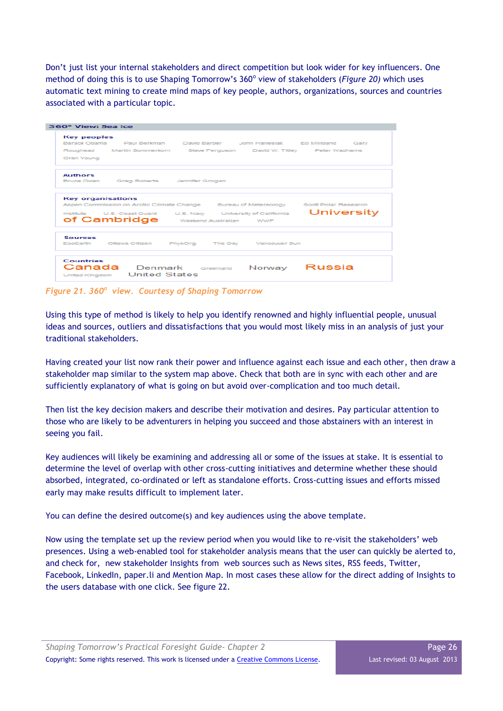Don't just list your internal stakeholders and direct competition but look wider for key influencers. One method of doing this is to use Shaping Tomorrow's 360° view of stakeholders (Figure 20) which uses automatic text mining to create mind maps of key people, authors, organizations, sources and countries associated with a particular topic.

| <b>Key peoples</b> |                                         |                                                                                                                                                                                                |                                        |  |
|--------------------|-----------------------------------------|------------------------------------------------------------------------------------------------------------------------------------------------------------------------------------------------|----------------------------------------|--|
|                    |                                         | Barack Obama Paul Berkman David Barber John Haneslak Ed Milliband Gary                                                                                                                         |                                        |  |
|                    |                                         | Roughead Martin Sommerkorn Steve Ferguson David W. Titley Peter Wadhams                                                                                                                        |                                        |  |
| Oran Young         |                                         |                                                                                                                                                                                                |                                        |  |
| <b>Authors</b>     |                                         |                                                                                                                                                                                                |                                        |  |
|                    | Bruce Owen Greg Roberts Jennifer Grogan |                                                                                                                                                                                                |                                        |  |
|                    |                                         | Aspen Commission on Arctic Climate Change  Bureau of Metereology  Scott Polar Research<br>Institute U.S. Coast Guard U.S. Navy University of California<br>of Cambridge Weekend Australian WWF | University                             |  |
| Sources            |                                         | EcoEarth Ottawa Citizen PhysOrg The Day Vancouver Sun                                                                                                                                          |                                        |  |
| Countries          |                                         |                                                                                                                                                                                                | Canada Denmark Greenland Norway Russia |  |

*Figure 21. 360<sup>o</sup> view. Courtesy of Shaping Tomorrow*

Using this type of method is likely to help you identify renowned and highly influential people, unusual ideas and sources, outliers and dissatisfactions that you would most likely miss in an analysis of just your traditional stakeholders.

Having created your list now rank their power and influence against each issue and each other, then draw a stakeholder map similar to the system map above. Check that both are in sync with each other and are sufficiently explanatory of what is going on but avoid over-complication and too much detail.

Then list the key decision makers and describe their motivation and desires. Pay particular attention to those who are likely to be adventurers in helping you succeed and those abstainers with an interest in seeing you fail.

Key audiences will likely be examining and addressing all or some of the issues at stake. It is essential to determine the level of overlap with other cross-cutting initiatives and determine whether these should absorbed, integrated, co-ordinated or left as standalone efforts. Cross-cutting issues and efforts missed early may make results difficult to implement later.

You can define the desired outcome(s) and key audiences using the above template.

Now using the template set up the review period when you would like to re-visit the stakeholders' web presences. Using a web-enabled tool for stakeholder analysis means that the user can quickly be alerted to, and check for, new stakeholder Insights from web sources such as News sites, RSS feeds, Twitter, Facebook, LinkedIn, paper. I and Mention Map. In most cases these allow for the direct adding of Insights to the users database with one click. See figure 22.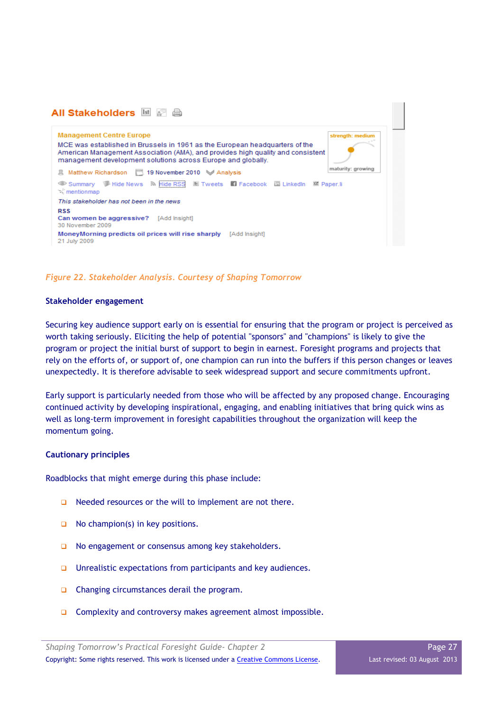

*Figure 22. Stakeholder Analysis. Courtesy of Shaping Tomorrow*

#### **Stakeholder engagement**

Securing key audience support early on is essential for ensuring that the program or project is perceived as worth taking seriously. Eliciting the help of potential "sponsors" and "champions" is likely to give the program or project the initial burst of support to begin in earnest. Foresight programs and projects that rely on the efforts of, or support of, one champion can run into the buffers if this person changes or leaves unexpectedly. It is therefore advisable to seek widespread support and secure commitments upfront.

Early support is particularly needed from those who will be affected by any proposed change. Encouraging continued activity by developing inspirational, engaging, and enabling initiatives that bring quick wins as well as long-term improvement in foresight capabilities throughout the organization will keep the momentum going.

# **Cautionary principles**

Roadblocks that might emerge during this phase include:

- $\Box$  Needed resources or the will to implement are not there.
- $\Box$  No champion(s) in key positions.
- □ No engagement or consensus among key stakeholders.
- **Unrealistic expectations from participants and key audiences.**
- Changing circumstances derail the program.
- $\Box$  Complexity and controversy makes agreement almost impossible.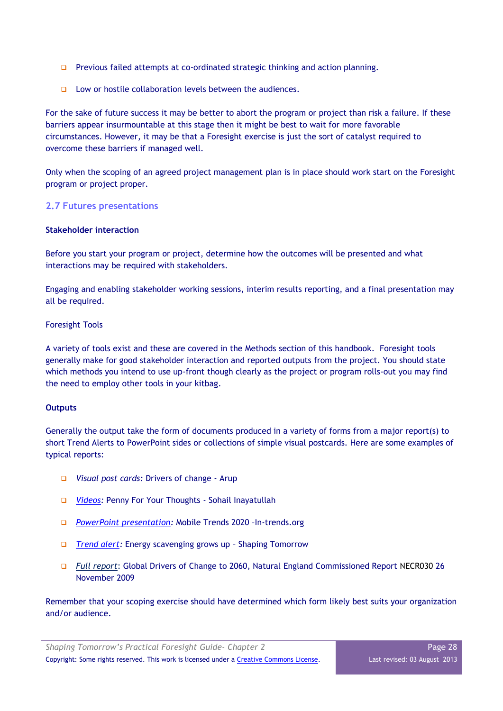- **Previous failed attempts at co-ordinated strategic thinking and action planning.**
- **Q** Low or hostile collaboration levels between the audiences.

For the sake of future success it may be better to abort the program or project than risk a failure. If these barriers appear insurmountable at this stage then it might be best to wait for more favorable circumstances. However, it may be that a Foresight exercise is just the sort of catalyst required to overcome these barriers if managed well.

Only when the scoping of an agreed project management plan is in place should work start on the Foresight program or project proper.

# <span id="page-27-0"></span>**2.7 Futures presentations**

# **Stakeholder interaction**

Before you start your program or project, determine how the outcomes will be presented and what interactions may be required with stakeholders.

Engaging and enabling stakeholder working sessions, interim results reporting, and a final presentation may all be required.

# Foresight Tools

A variety of tools exist and these are covered in the Methods section of this handbook. Foresight tools generally make for good stakeholder interaction and reported outputs from the project. You should state which methods you intend to use up-front though clearly as the project or program rolls-out you may find the need to employ other tools in your kitbag.

# **Outputs**

Generally the output take the form of documents produced in a variety of forms from a major report(s) to short Trend Alerts to PowerPoint sides or collections of simple visual postcards. Here are some examples of typical reports:

- *Visual post cards:* Drivers of change Arup
- *[Videos:](http://www.vimeo.com/groups/vint/videos/7514801)* Penny For Your Thoughts Sohail Inayatullah
- *[PowerPoint presentation:](http://www.slideshare.net/rudydw/mobile-trends-2020)* Mobile Trends 2020 –In-trends.org
- *[Trend alert:](http://www.shapingtomorrow.com/trends.cfm?output=1&id=6479)* Energy scavenging grows up Shaping Tomorrow
- *[Full report](http://www.jmt.org/assets/john%20muir%20award/global%20drivers%20of%20change%20to%202060.pdf)*: Global Drivers of Change to 2060, Natural England Commissioned Report [NECR030](http://www.jmt.org/assets/john%20muir%20award/global%20drivers%20of%20change%20to%202060.pdf) 26 November 2009

Remember that your scoping exercise should have determined which form likely best suits your organization and/or audience.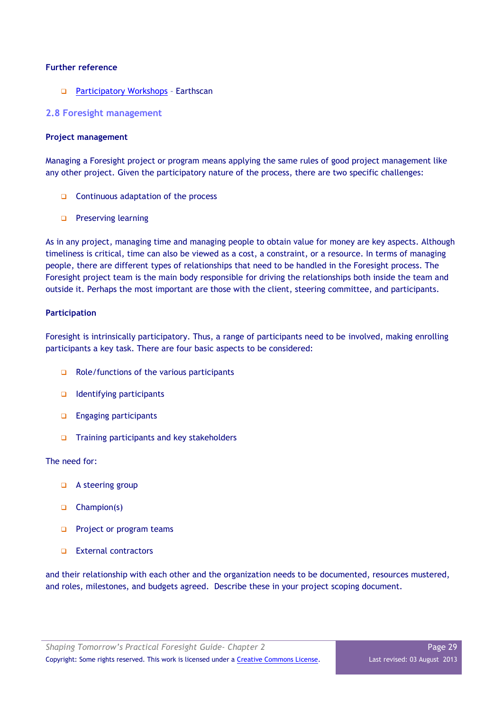# **Further reference**

□ [Participatory Workshops](http://www.earthscan.co.uk/default.aspx?tabid=630) - Earthscan

# <span id="page-28-0"></span>**2.8 Foresight management**

#### **Project management**

Managing a Foresight project or program means applying the same rules of good project management like any other project. Given the participatory nature of the process, there are two specific challenges:

- $\Box$  Continuous adaptation of the process
- **D** Preserving learning

As in any project, managing time and managing people to obtain value for money are key aspects. Although timeliness is critical, time can also be viewed as a cost, a constraint, or a resource. In terms of managing people, there are different types of relationships that need to be handled in the Foresight process. The Foresight project team is the main body responsible for driving the relationships both inside the team and outside it. Perhaps the most important are those with the client, steering committee, and participants.

#### **Participation**

Foresight is intrinsically participatory. Thus, a range of participants need to be involved, making enrolling participants a key task. There are four basic aspects to be considered:

- $\Box$  Role/functions of the various participants
- $\Box$  Identifying participants
- **Engaging participants**
- $\Box$  Training participants and key stakeholders

#### The need for:

- □ A steering group
- $\Box$  Champion(s)
- **Project or program teams**
- □ External contractors

and their relationship with each other and the organization needs to be documented, resources mustered, and roles, milestones, and budgets agreed. Describe these in your project scoping document.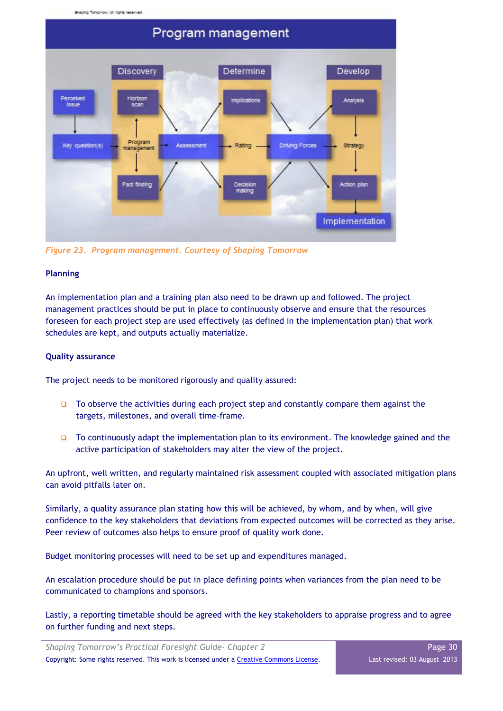Shaping Tomorrow: 35 rights reserved



*Figure 23. Program management. Courtesy of Shaping Tomorrow*

#### **Planning**

An implementation plan and a training plan also need to be drawn up and followed. The project management practices should be put in place to continuously observe and ensure that the resources foreseen for each project step are used effectively (as defined in the implementation plan) that work schedules are kept, and outputs actually materialize.

#### **Quality assurance**

The project needs to be monitored rigorously and quality assured:

- $\Box$  To observe the activities during each project step and constantly compare them against the targets, milestones, and overall time-frame.
- $\Box$  To continuously adapt the implementation plan to its environment. The knowledge gained and the active participation of stakeholders may alter the view of the project.

An upfront, well written, and regularly maintained risk assessment coupled with associated mitigation plans can avoid pitfalls later on.

Similarly, a quality assurance plan stating how this will be achieved, by whom, and by when, will give confidence to the key stakeholders that deviations from expected outcomes will be corrected as they arise. Peer review of outcomes also helps to ensure proof of quality work done.

Budget monitoring processes will need to be set up and expenditures managed.

An escalation procedure should be put in place defining points when variances from the plan need to be communicated to champions and sponsors.

Lastly, a reporting timetable should be agreed with the key stakeholders to appraise progress and to agree on further funding and next steps.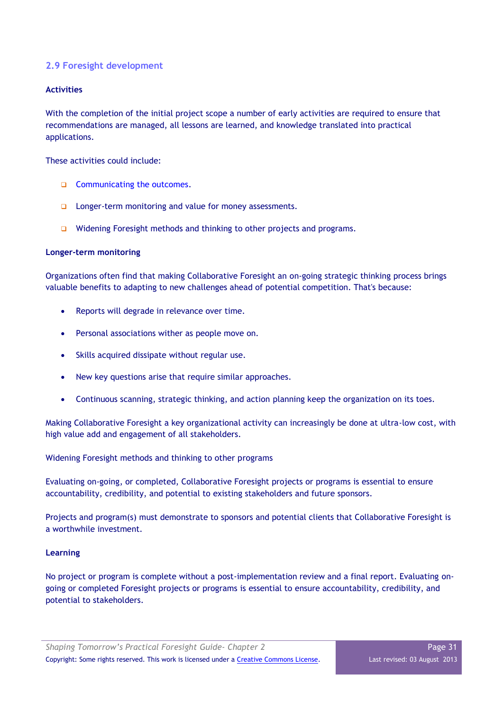# <span id="page-30-0"></span>**2.9 Foresight development**

# **Activities**

With the completion of the initial project scope a number of early activities are required to ensure that recommendations are managed, all lessons are learned, and knowledge translated into practical applications.

These activities could include:

- **[Communicating the outcomes.](http://practicalforesight.wetpaint.com/page/Strategy+communication)**
- **Q** Longer-term monitoring and value for money assessments.
- □ Widening Foresight methods and thinking to other projects and programs.

# **Longer-term monitoring**

Organizations often find that making Collaborative Foresight an on-going strategic thinking process brings valuable benefits to adapting to new challenges ahead of potential competition. That's because:

- Reports will degrade in relevance over time.
- Personal associations wither as people move on.
- Skills acquired dissipate without regular use.
- New key questions arise that require similar approaches.
- Continuous scanning, strategic thinking, and action planning keep the organization on its toes.

Making Collaborative Foresight a key organizational activity can increasingly be done at ultra-low cost, with high value add and engagement of all stakeholders.

Widening Foresight methods and thinking to other programs

Evaluating on-going, or completed, Collaborative Foresight projects or programs is essential to ensure accountability, credibility, and potential to existing stakeholders and future sponsors.

Projects and program(s) must demonstrate to sponsors and potential clients that Collaborative Foresight is a worthwhile investment.

# **Learning**

No project or program is complete without a post-implementation review and a final report. Evaluating ongoing or completed Foresight projects or programs is essential to ensure accountability, credibility, and potential to stakeholders.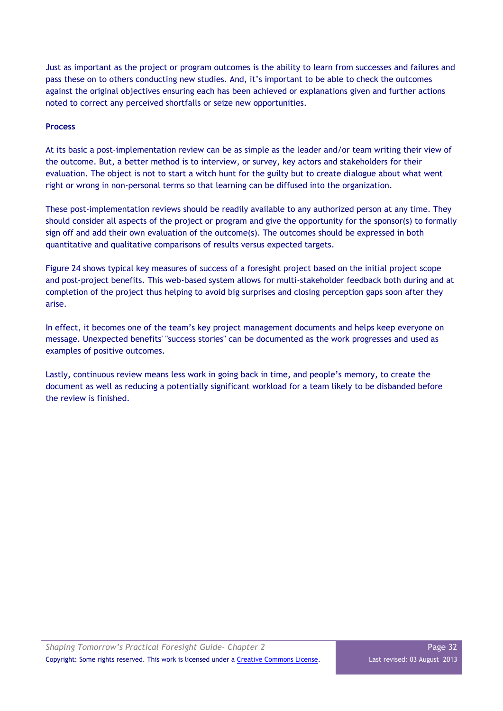Just as important as the project or program outcomes is the ability to learn from successes and failures and pass these on to others conducting new studies. And, it's important to be able to check the outcomes against the original objectives ensuring each has been achieved or explanations given and further actions noted to correct any perceived shortfalls or seize new opportunities.

# **Process**

At its basic a post-implementation review can be as simple as the leader and/or team writing their view of the outcome. But, a better method is to interview, or survey, key actors and stakeholders for their evaluation. The object is not to start a witch hunt for the guilty but to create dialogue about what went right or wrong in non-personal terms so that learning can be diffused into the organization.

These post-implementation reviews should be readily available to any authorized person at any time. They should consider all aspects of the project or program and give the opportunity for the sponsor(s) to formally sign off and add their own evaluation of the outcome(s). The outcomes should be expressed in both quantitative and qualitative comparisons of results versus expected targets.

Figure 24 shows typical key measures of success of a foresight project based on the initial project scope and post-project benefits. This web-based system allows for multi-stakeholder feedback both during and at completion of the project thus helping to avoid big surprises and closing perception gaps soon after they arise.

In effect, it becomes one of the team's key project management documents and helps keep everyone on message. Unexpected benefits' "success stories" can be documented as the work progresses and used as examples of positive outcomes.

Lastly, continuous review means less work in going back in time, and people's memory, to create the document as well as reducing a potentially significant workload for a team likely to be disbanded before the review is finished.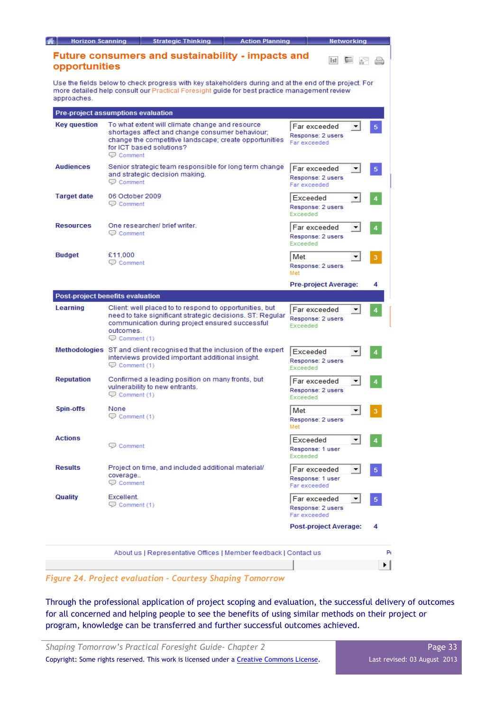| Use the fields below to check progress with key stakeholders during and at the end of the project. For<br>more detailed help consult our Practical Foresight quide for best practice management review<br>approaches.<br>Pre-project assumptions evaluation<br><b>Key question</b><br>To what extent will climate change and resource<br>Far exceeded<br>▼<br>shortages affect and change consumer behaviour;<br>Response: 2 users<br>change the competitive landscape; create opportunities<br>Far exceeded<br>for ICT based solutions?<br>Comment<br><b>Audiences</b><br>Senior strategic team responsible for long term change<br>Far exceeded<br>▼<br>and strategic decision making.<br>Response: 2 users<br>Comment<br>Far exceeded<br><b>Target date</b><br>06 October 2009<br>Exceeded<br>▼<br>Comment<br>Response: 2 users<br>Exceeded<br>One researcher/ brief writer.<br><b>Resources</b><br>Far exceeded<br>▼<br>Comment<br>Response: 2 users<br>Exceeded<br><b>Budget</b><br>£11,000<br>Met<br>▾<br>Comment<br>Response: 2 users<br>Met<br><b>Pre-project Average:</b><br><b>Post-project benefits evaluation</b><br>Learning<br>Client: well placed to to respond to opportunities, but<br>Far exceeded<br>▼<br>need to take significant strategic decisions. ST: Regular<br>Response: 2 users<br>communication during project ensured successful<br>Exceeded<br>outcomes.<br>$\mathcal{D}$ Comment (1)<br>Methodologies ST and client recognised that the inclusion of the expert<br>Exceeded<br>interviews provided important additional insight.<br>Response: 2 users<br>$\mathcal{D}$ Comment (1)<br>Exceeded<br><b>Reputation</b><br>Confirmed a leading position on many fronts, but<br>Far exceeded<br>vulnerability to new entrants.<br>Response: 2 users<br>$\mathcal{D}$ Comment (1)<br>Exceeded<br><b>Spin-offs</b><br>None<br>Met<br>Comment (1)<br>Response: 2 users<br>Met<br><b>Actions</b><br>Exceeded<br>Comment<br>Response: 1 user<br>Exceeded<br><b>Results</b><br>Project on time, and included additional material/<br>Far exceeded<br>coverage<br>Response: 1 user<br>Comment<br>Far exceeded<br>Quality<br>Excellent.<br>Far exceeded<br>$\mathcal{D}$ Comment (1)<br>Response: 2 users<br>Far exceeded<br><b>Post-project Average:</b> | opportunities | <b>Future consumers and sustainability - impacts and</b> | $\overline{\mathsf{l}}$ st |
|------------------------------------------------------------------------------------------------------------------------------------------------------------------------------------------------------------------------------------------------------------------------------------------------------------------------------------------------------------------------------------------------------------------------------------------------------------------------------------------------------------------------------------------------------------------------------------------------------------------------------------------------------------------------------------------------------------------------------------------------------------------------------------------------------------------------------------------------------------------------------------------------------------------------------------------------------------------------------------------------------------------------------------------------------------------------------------------------------------------------------------------------------------------------------------------------------------------------------------------------------------------------------------------------------------------------------------------------------------------------------------------------------------------------------------------------------------------------------------------------------------------------------------------------------------------------------------------------------------------------------------------------------------------------------------------------------------------------------------------------------------------------------------------------------------------------------------------------------------------------------------------------------------------------------------------------------------------------------------------------------------------------------------------------------------------------------------------------------------------------------------------------------------------------------------------------------------------------------------------------------------------------------|---------------|----------------------------------------------------------|----------------------------|
|                                                                                                                                                                                                                                                                                                                                                                                                                                                                                                                                                                                                                                                                                                                                                                                                                                                                                                                                                                                                                                                                                                                                                                                                                                                                                                                                                                                                                                                                                                                                                                                                                                                                                                                                                                                                                                                                                                                                                                                                                                                                                                                                                                                                                                                                              |               |                                                          |                            |
|                                                                                                                                                                                                                                                                                                                                                                                                                                                                                                                                                                                                                                                                                                                                                                                                                                                                                                                                                                                                                                                                                                                                                                                                                                                                                                                                                                                                                                                                                                                                                                                                                                                                                                                                                                                                                                                                                                                                                                                                                                                                                                                                                                                                                                                                              |               |                                                          |                            |
|                                                                                                                                                                                                                                                                                                                                                                                                                                                                                                                                                                                                                                                                                                                                                                                                                                                                                                                                                                                                                                                                                                                                                                                                                                                                                                                                                                                                                                                                                                                                                                                                                                                                                                                                                                                                                                                                                                                                                                                                                                                                                                                                                                                                                                                                              |               |                                                          | 5                          |
|                                                                                                                                                                                                                                                                                                                                                                                                                                                                                                                                                                                                                                                                                                                                                                                                                                                                                                                                                                                                                                                                                                                                                                                                                                                                                                                                                                                                                                                                                                                                                                                                                                                                                                                                                                                                                                                                                                                                                                                                                                                                                                                                                                                                                                                                              |               |                                                          | 5                          |
|                                                                                                                                                                                                                                                                                                                                                                                                                                                                                                                                                                                                                                                                                                                                                                                                                                                                                                                                                                                                                                                                                                                                                                                                                                                                                                                                                                                                                                                                                                                                                                                                                                                                                                                                                                                                                                                                                                                                                                                                                                                                                                                                                                                                                                                                              |               |                                                          |                            |
|                                                                                                                                                                                                                                                                                                                                                                                                                                                                                                                                                                                                                                                                                                                                                                                                                                                                                                                                                                                                                                                                                                                                                                                                                                                                                                                                                                                                                                                                                                                                                                                                                                                                                                                                                                                                                                                                                                                                                                                                                                                                                                                                                                                                                                                                              |               |                                                          |                            |
|                                                                                                                                                                                                                                                                                                                                                                                                                                                                                                                                                                                                                                                                                                                                                                                                                                                                                                                                                                                                                                                                                                                                                                                                                                                                                                                                                                                                                                                                                                                                                                                                                                                                                                                                                                                                                                                                                                                                                                                                                                                                                                                                                                                                                                                                              |               |                                                          | 3                          |
|                                                                                                                                                                                                                                                                                                                                                                                                                                                                                                                                                                                                                                                                                                                                                                                                                                                                                                                                                                                                                                                                                                                                                                                                                                                                                                                                                                                                                                                                                                                                                                                                                                                                                                                                                                                                                                                                                                                                                                                                                                                                                                                                                                                                                                                                              |               |                                                          | 4                          |
|                                                                                                                                                                                                                                                                                                                                                                                                                                                                                                                                                                                                                                                                                                                                                                                                                                                                                                                                                                                                                                                                                                                                                                                                                                                                                                                                                                                                                                                                                                                                                                                                                                                                                                                                                                                                                                                                                                                                                                                                                                                                                                                                                                                                                                                                              |               |                                                          |                            |
|                                                                                                                                                                                                                                                                                                                                                                                                                                                                                                                                                                                                                                                                                                                                                                                                                                                                                                                                                                                                                                                                                                                                                                                                                                                                                                                                                                                                                                                                                                                                                                                                                                                                                                                                                                                                                                                                                                                                                                                                                                                                                                                                                                                                                                                                              |               |                                                          |                            |
|                                                                                                                                                                                                                                                                                                                                                                                                                                                                                                                                                                                                                                                                                                                                                                                                                                                                                                                                                                                                                                                                                                                                                                                                                                                                                                                                                                                                                                                                                                                                                                                                                                                                                                                                                                                                                                                                                                                                                                                                                                                                                                                                                                                                                                                                              |               |                                                          |                            |
|                                                                                                                                                                                                                                                                                                                                                                                                                                                                                                                                                                                                                                                                                                                                                                                                                                                                                                                                                                                                                                                                                                                                                                                                                                                                                                                                                                                                                                                                                                                                                                                                                                                                                                                                                                                                                                                                                                                                                                                                                                                                                                                                                                                                                                                                              |               |                                                          |                            |
|                                                                                                                                                                                                                                                                                                                                                                                                                                                                                                                                                                                                                                                                                                                                                                                                                                                                                                                                                                                                                                                                                                                                                                                                                                                                                                                                                                                                                                                                                                                                                                                                                                                                                                                                                                                                                                                                                                                                                                                                                                                                                                                                                                                                                                                                              |               |                                                          |                            |
|                                                                                                                                                                                                                                                                                                                                                                                                                                                                                                                                                                                                                                                                                                                                                                                                                                                                                                                                                                                                                                                                                                                                                                                                                                                                                                                                                                                                                                                                                                                                                                                                                                                                                                                                                                                                                                                                                                                                                                                                                                                                                                                                                                                                                                                                              |               |                                                          |                            |
|                                                                                                                                                                                                                                                                                                                                                                                                                                                                                                                                                                                                                                                                                                                                                                                                                                                                                                                                                                                                                                                                                                                                                                                                                                                                                                                                                                                                                                                                                                                                                                                                                                                                                                                                                                                                                                                                                                                                                                                                                                                                                                                                                                                                                                                                              |               |                                                          |                            |
|                                                                                                                                                                                                                                                                                                                                                                                                                                                                                                                                                                                                                                                                                                                                                                                                                                                                                                                                                                                                                                                                                                                                                                                                                                                                                                                                                                                                                                                                                                                                                                                                                                                                                                                                                                                                                                                                                                                                                                                                                                                                                                                                                                                                                                                                              |               |                                                          |                            |
|                                                                                                                                                                                                                                                                                                                                                                                                                                                                                                                                                                                                                                                                                                                                                                                                                                                                                                                                                                                                                                                                                                                                                                                                                                                                                                                                                                                                                                                                                                                                                                                                                                                                                                                                                                                                                                                                                                                                                                                                                                                                                                                                                                                                                                                                              |               |                                                          |                            |
| About us   Representative Offices   Member feedback   Contact us                                                                                                                                                                                                                                                                                                                                                                                                                                                                                                                                                                                                                                                                                                                                                                                                                                                                                                                                                                                                                                                                                                                                                                                                                                                                                                                                                                                                                                                                                                                                                                                                                                                                                                                                                                                                                                                                                                                                                                                                                                                                                                                                                                                                             |               |                                                          | 4                          |

*Figure 24. [Project evaluation](http://www.shapingtomorrow.com/projects.cfm?eval=25) – Courtesy Shaping Tomorrow* 

Through the professional application of project scoping and evaluation, the successful delivery of outcomes for all concerned and helping people to see the benefits of using similar methods on their project or program, knowledge can be transferred and further successful outcomes achieved.